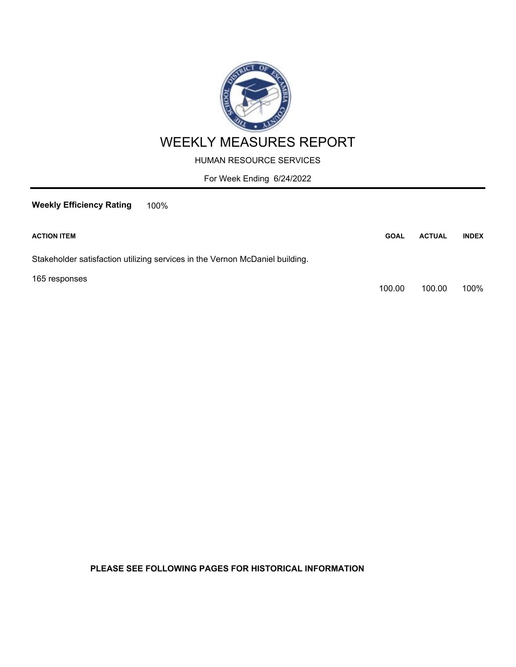

HUMAN RESOURCE SERVICES

For Week Ending 6/24/2022

**Weekly Efficiency Rating** 100%

| <b>ACTION ITEM</b>                                                           | <b>GOAL</b> | <b>ACTUAL</b> | <b>INDEX</b> |
|------------------------------------------------------------------------------|-------------|---------------|--------------|
| Stakeholder satisfaction utilizing services in the Vernon McDaniel building. |             |               |              |
| 165 responses                                                                | 100.00      | 100.00        | 100%         |

**PLEASE SEE FOLLOWING PAGES FOR HISTORICAL INFORMATION**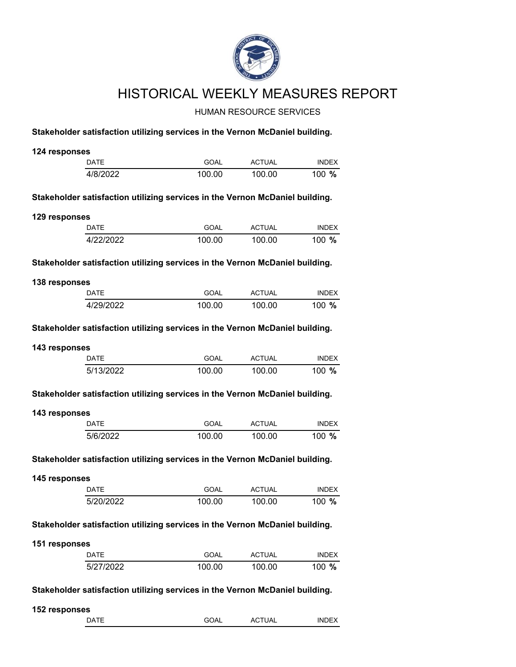

## HISTORICAL WEEKLY MEASURES REPORT

## HUMAN RESOURCE SERVICES

## **Stakeholder satisfaction utilizing services in the Vernon McDaniel building.**

| 124 responses |                                                                              |             |               |              |
|---------------|------------------------------------------------------------------------------|-------------|---------------|--------------|
|               | <b>DATE</b>                                                                  | <b>GOAL</b> | <b>ACTUAL</b> | <b>INDEX</b> |
|               | 4/8/2022                                                                     | 100.00      | 100.00        | 100 %        |
|               | Stakeholder satisfaction utilizing services in the Vernon McDaniel building. |             |               |              |
| 129 responses |                                                                              |             |               |              |
|               | DATE                                                                         | <b>GOAL</b> | <b>ACTUAL</b> | <b>INDEX</b> |
|               | 4/22/2022                                                                    | 100.00      | 100.00        | 100 %        |
|               | Stakeholder satisfaction utilizing services in the Vernon McDaniel building. |             |               |              |
| 138 responses |                                                                              |             |               |              |
|               | DATE                                                                         | <b>GOAL</b> | <b>ACTUAL</b> | <b>INDEX</b> |
|               | 4/29/2022                                                                    | 100.00      | 100.00        | 100 %        |
|               | Stakeholder satisfaction utilizing services in the Vernon McDaniel building. |             |               |              |
| 143 responses |                                                                              |             |               |              |
|               | <b>DATE</b>                                                                  | <b>GOAL</b> | <b>ACTUAL</b> | <b>INDEX</b> |
|               | 5/13/2022                                                                    | 100.00      | 100.00        | 100 %        |
| 143 responses |                                                                              |             |               |              |
|               | <b>DATE</b>                                                                  | <b>GOAL</b> | <b>ACTUAL</b> | <b>INDEX</b> |
|               | 5/6/2022                                                                     | 100.00      | 100.00        | 100 %        |
|               | Stakeholder satisfaction utilizing services in the Vernon McDaniel building. |             |               |              |
| 145 responses |                                                                              |             |               |              |
|               | <b>DATE</b>                                                                  | <b>GOAL</b> | <b>ACTUAL</b> | <b>INDEX</b> |
|               | 5/20/2022                                                                    | 100.00      | 100.00        | 100 %        |
|               | Stakeholder satisfaction utilizing services in the Vernon McDaniel building. |             |               |              |
| 151 responses |                                                                              |             |               |              |
|               | <b>DATE</b>                                                                  | GOAL        | <b>ACTUAL</b> | <b>INDEX</b> |
|               | 5/27/2022                                                                    | 100.00      | 100.00        |              |
|               |                                                                              |             |               | 100 %        |
|               | Stakeholder satisfaction utilizing services in the Vernon McDaniel building. |             |               |              |
| 152 responses | <b>DATE</b>                                                                  |             |               |              |